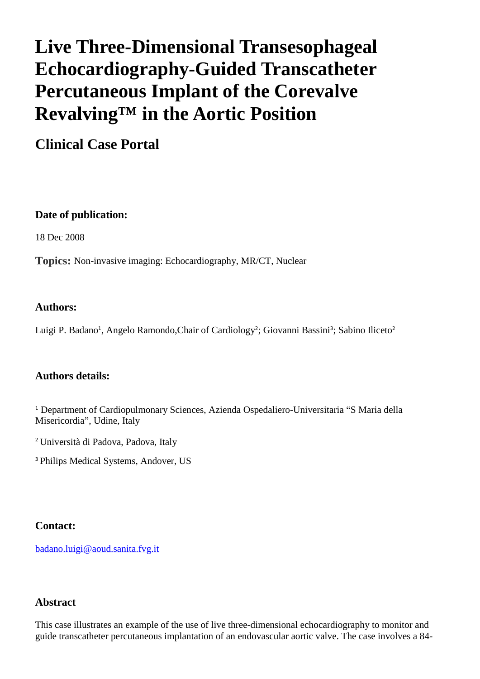# **Live Three-Dimensional Transesophageal Echocardiography-Guided Transcatheter Percutaneous Implant of the Corevalve Revalving™ in the Aortic Position**

**Clinical Case Portal**

## **Date of publication:**

18 Dec 2008

**Topics:** Non-invasive imaging: Echocardiography, MR/CT, Nuclear

#### **Authors:**

Luigi P. Badano<sup>1</sup>, Angelo Ramondo, Chair of Cardiology<sup>2</sup>; Giovanni Bassini<sup>3</sup>; Sabino Iliceto<sup>2</sup>

## **Authors details:**

<sup>1</sup> Department of Cardiopulmonary Sciences, Azienda Ospedaliero-Universitaria "S Maria della Misericordia", Udine, Italy

<sup>2</sup>Università di Padova, Padova, Italy

<sup>3</sup>Philips Medical Systems, Andover, US

## **Contact:**

[badano.luigi@aoud.sanita.fvg.it](mailto:badano.luigi@aoud.sanita.fvg.it) 

#### **Abstract**

This case illustrates an example of the use of live three-dimensional echocardiography to monitor and guide transcatheter percutaneous implantation of an endovascular aortic valve. The case involves a 84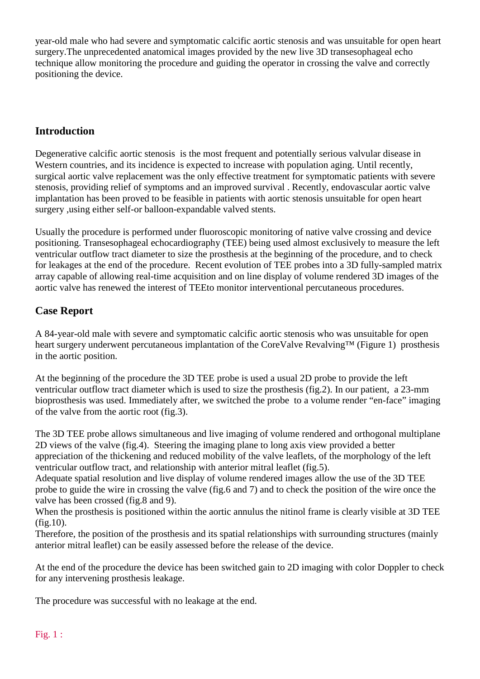year-old male who had severe and symptomatic calcific aortic stenosis and was unsuitable for open heart surgery.The unprecedented anatomical images provided by the new live 3D transesophageal echo technique allow monitoring the procedure and guiding the operator in crossing the valve and correctly positioning the device.

## **Introduction**

Degenerative calcific aortic stenosis is the most frequent and potentially serious valvular disease in Western countries, and its incidence is expected to increase with population aging. Until recently, surgical aortic valve replacement was the only effective treatment for symptomatic patients with severe stenosis, providing relief of symptoms and an improved survival . Recently, endovascular aortic valve implantation has been proved to be feasible in patients with aortic stenosis unsuitable for open heart surgery ,using either self-or balloon-expandable valved stents.

Usually the procedure is performed under fluoroscopic monitoring of native valve crossing and device positioning. Transesophageal echocardiography (TEE) being used almost exclusively to measure the left ventricular outflow tract diameter to size the prosthesis at the beginning of the procedure, and to check for leakages at the end of the procedure. Recent evolution of TEE probes into a 3D fully-sampled matrix array capable of allowing real-time acquisition and on line display of volume rendered 3D images of the aortic valve has renewed the interest of TEEto monitor interventional percutaneous procedures.

# **Case Report**

A 84-year-old male with severe and symptomatic calcific aortic stenosis who was unsuitable for open heart surgery underwent percutaneous implantation of the CoreValve Revalving™ (Figure 1) prosthesis in the aortic position.

At the beginning of the procedure the 3D TEE probe is used a usual 2D probe to provide the left ventricular outflow tract diameter which is used to size the prosthesis (fig.2). In our patient, a 23-mm bioprosthesis was used. Immediately after, we switched the probe to a volume render "en-face" imaging of the valve from the aortic root (fig.3).

The 3D TEE probe allows simultaneous and live imaging of volume rendered and orthogonal multiplane 2D views of the valve (fig.4). Steering the imaging plane to long axis view provided a better appreciation of the thickening and reduced mobility of the valve leaflets, of the morphology of the left ventricular outflow tract, and relationship with anterior mitral leaflet (fig.5).

Adequate spatial resolution and live display of volume rendered images allow the use of the 3D TEE probe to guide the wire in crossing the valve (fig.6 and 7) and to check the position of the wire once the valve has been crossed (fig.8 and 9).

When the prosthesis is positioned within the aortic annulus the nitinol frame is clearly visible at 3D TEE  $(fig.10)$ .

Therefore, the position of the prosthesis and its spatial relationships with surrounding structures (mainly anterior mitral leaflet) can be easily assessed before the release of the device.

At the end of the procedure the device has been switched gain to 2D imaging with color Doppler to check for any intervening prosthesis leakage.

The procedure was successful with no leakage at the end.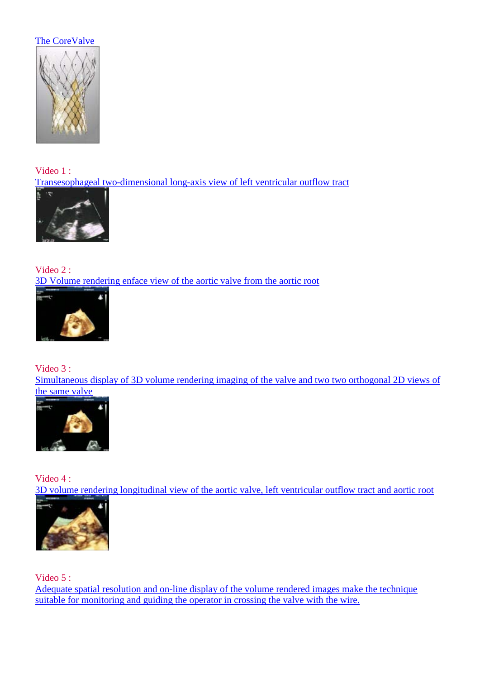## [The CoreValve](http://www.escardio.org/communities/EACVI/CasePortal/EAECasePictures/7731bbbe-8d75-404d-8369-0c5b9e77b0e8/CoreValve-fig1.jpg)



Video 1 : [Transesophageal two-dimensional long-axis view of left ventricular outflow tract](http://www.youtube.com/watch?v=OaQKbv8HwoM)



Video 2 : [3D Volume rendering enface view of the aortic valve from the aortic root](http://www.youtube.com/watch?v=PDuLa827O7U)



Video 3 :

[Simultaneous display of 3D volume rendering imaging of the valve and two two orthogonal 2D views of](http://www.youtube.com/watch?v=t8Dx9BaQKSY)  [the same valve](http://www.youtube.com/watch?v=t8Dx9BaQKSY)



Video 4 : [3D volume rendering longitudinal view of the aortic valve, left ventricular outflow tract and aortic root](http://www.youtube.com/watch?v=pc7suzaA4ZQ)



Video 5 :

[Adequate spatial resolution and on-line display of the volume rendered images make the technique](http://www.youtube.com/watch?v=RNsXf5csMEA)  [suitable for monitoring and guiding the operator in crossing the valve with the wire.](http://www.youtube.com/watch?v=RNsXf5csMEA)